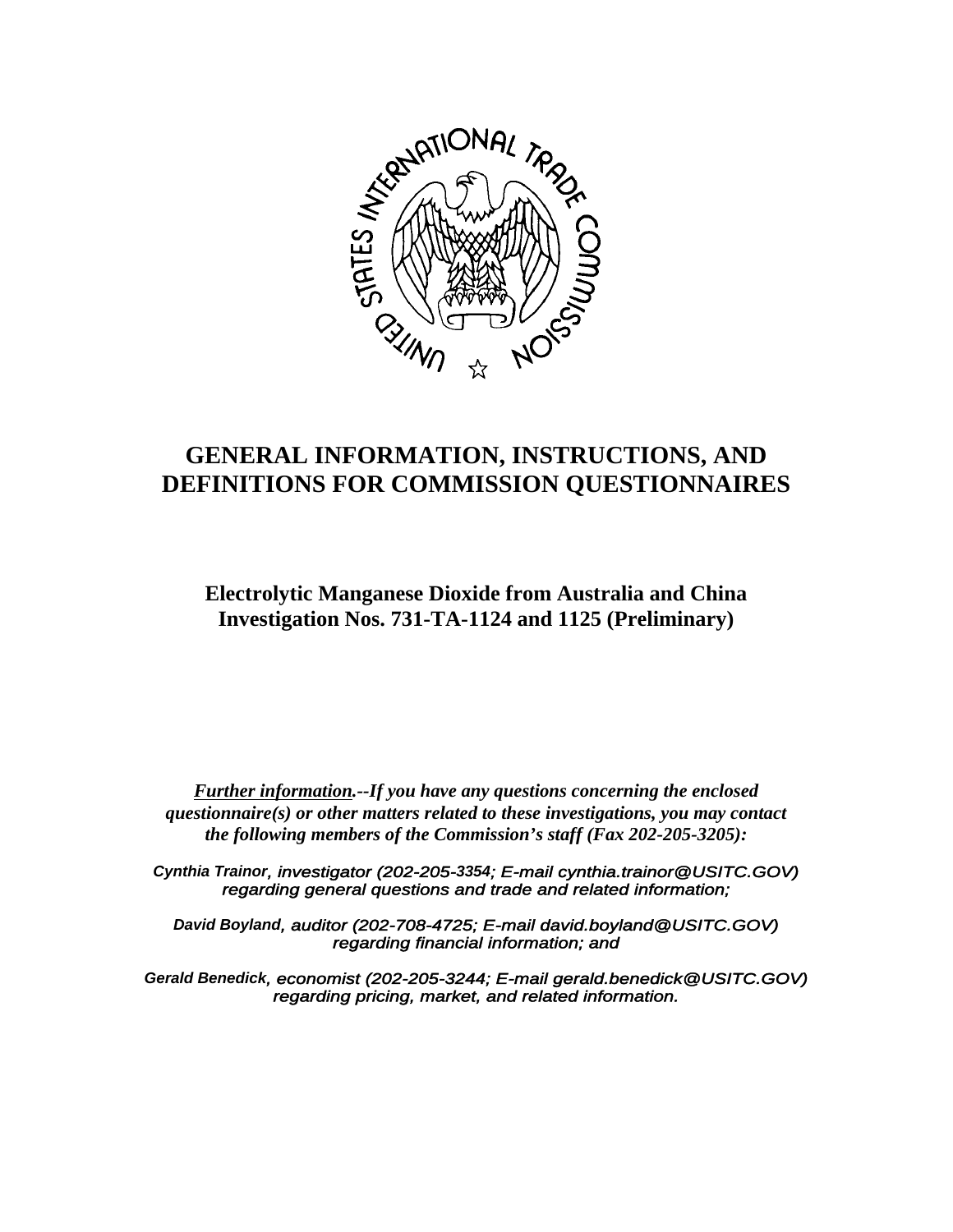

# **GENERAL INFORMATION, INSTRUCTIONS, AND DEFINITIONS FOR COMMISSION QUESTIONNAIRES**

# **Electrolytic Manganese Dioxide from Australia and China Investigation Nos. 731-TA-1124 and 1125 (Preliminary)**

*Further information.--If you have any questions concerning the enclosed questionnaire(s) or other matters related to these investigations, you may contact the following members of the Commission's staff (Fax 202-205-3205):*

*Cynthia Trainor, investigator (202-205-3354; E-mail cynthia.trainor@USITC.GOV) regarding general questions and trade and related information;*

*David Boyland, auditor (202-708-4725; E-mail david.boyland@USITC.GOV) regarding financial information; and*

*Gerald Benedick, economist (202-205-3244; E-mail gerald.benedick@USITC.GOV) regarding pricing, market, and related information.*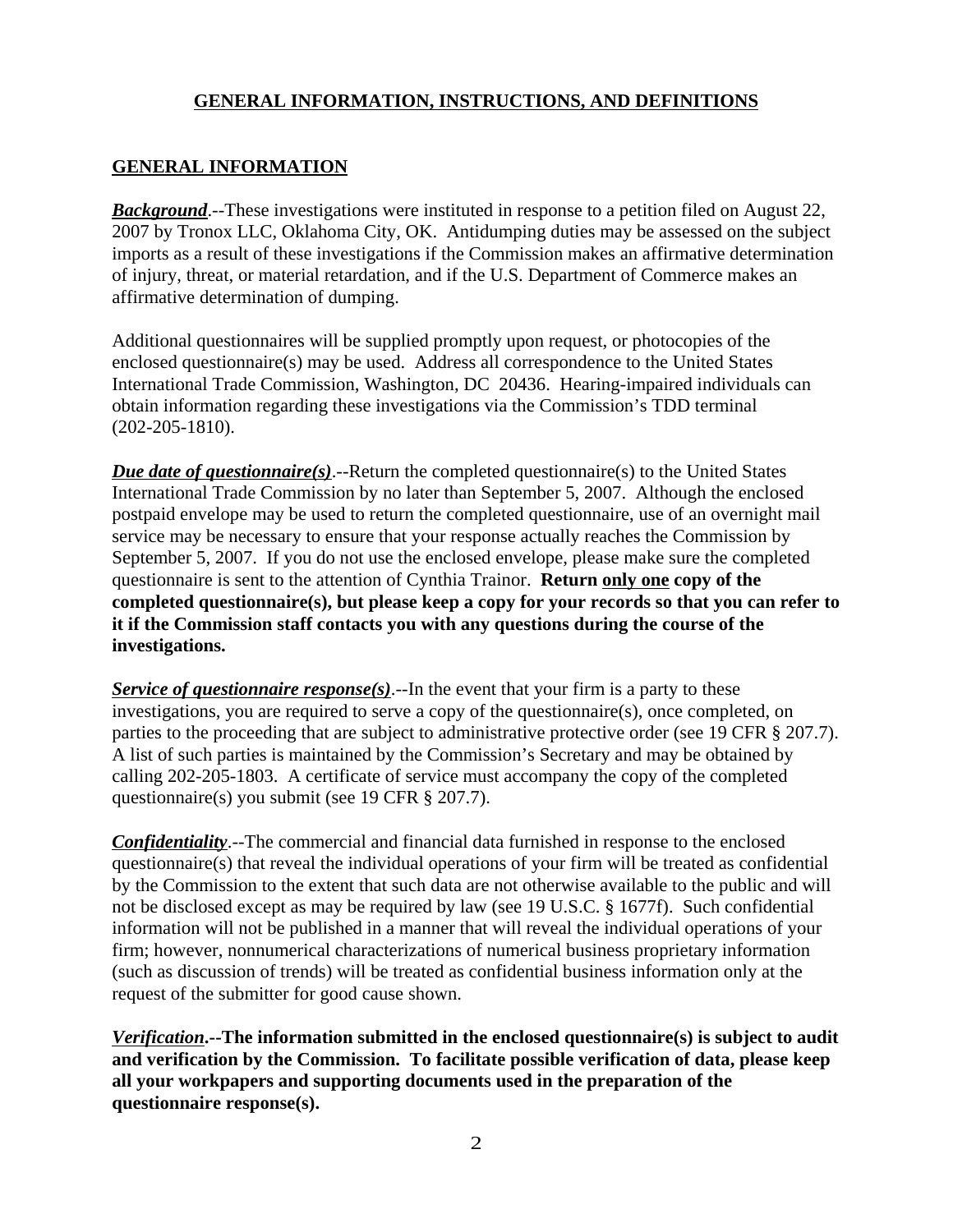# **GENERAL INFORMATION**

**Background**.--These investigations were instituted in response to a petition filed on August 22, 2007 by Tronox LLC, Oklahoma City, OK. Antidumping duties may be assessed on the subject imports as a result of these investigations if the Commission makes an affirmative determination of injury, threat, or material retardation, and if the U.S. Department of Commerce makes an affirmative determination of dumping.

Additional questionnaires will be supplied promptly upon request, or photocopies of the enclosed questionnaire(s) may be used. Address all correspondence to the United States International Trade Commission, Washington, DC 20436. Hearing-impaired individuals can obtain information regarding these investigations via the Commission's TDD terminal (202-205-1810).

*Due date of questionnaire(s)*.--Return the completed questionnaire(s) to the United States International Trade Commission by no later than September 5, 2007. Although the enclosed postpaid envelope may be used to return the completed questionnaire, use of an overnight mail service may be necessary to ensure that your response actually reaches the Commission by September 5, 2007. If you do not use the enclosed envelope, please make sure the completed questionnaire is sent to the attention of Cynthia Trainor. **Return only one copy of the completed questionnaire(s), but please keep a copy for your records so that you can refer to it if the Commission staff contacts you with any questions during the course of the investigations.**

*Service of questionnaire response(s)*.--In the event that your firm is a party to these investigations, you are required to serve a copy of the questionnaire(s), once completed, on parties to the proceeding that are subject to administrative protective order (see 19 CFR § 207.7). A list of such parties is maintained by the Commission's Secretary and may be obtained by calling 202-205-1803. A certificate of service must accompany the copy of the completed questionnaire(s) you submit (see 19 CFR § 207.7).

*Confidentiality*.--The commercial and financial data furnished in response to the enclosed questionnaire(s) that reveal the individual operations of your firm will be treated as confidential by the Commission to the extent that such data are not otherwise available to the public and will not be disclosed except as may be required by law (see 19 U.S.C. § 1677f). Such confidential information will not be published in a manner that will reveal the individual operations of your firm; however, nonnumerical characterizations of numerical business proprietary information (such as discussion of trends) will be treated as confidential business information only at the request of the submitter for good cause shown.

*Verification***.--The information submitted in the enclosed questionnaire(s) is subject to audit and verification by the Commission. To facilitate possible verification of data, please keep all your workpapers and supporting documents used in the preparation of the questionnaire response(s).**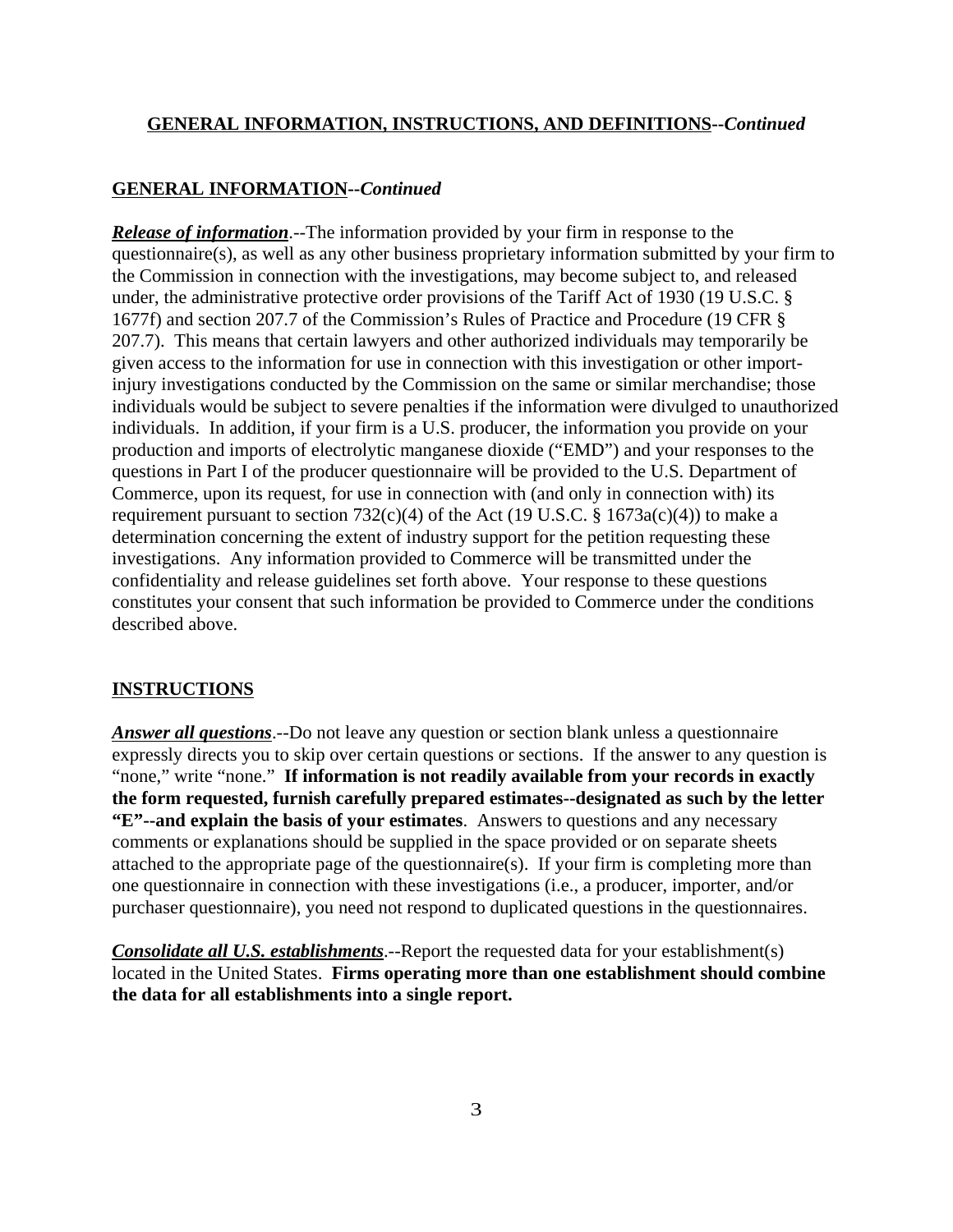### **GENERAL INFORMATION--***Continued*

*Release of information*.--The information provided by your firm in response to the questionnaire(s), as well as any other business proprietary information submitted by your firm to the Commission in connection with the investigations, may become subject to, and released under, the administrative protective order provisions of the Tariff Act of 1930 (19 U.S.C. § 1677f) and section 207.7 of the Commission's Rules of Practice and Procedure (19 CFR § 207.7). This means that certain lawyers and other authorized individuals may temporarily be given access to the information for use in connection with this investigation or other importinjury investigations conducted by the Commission on the same or similar merchandise; those individuals would be subject to severe penalties if the information were divulged to unauthorized individuals. In addition, if your firm is a U.S. producer, the information you provide on your production and imports of electrolytic manganese dioxide ("EMD") and your responses to the questions in Part I of the producer questionnaire will be provided to the U.S. Department of Commerce, upon its request, for use in connection with (and only in connection with) its requirement pursuant to section  $732(c)(4)$  of the Act (19 U.S.C. § 1673a(c)(4)) to make a determination concerning the extent of industry support for the petition requesting these investigations. Any information provided to Commerce will be transmitted under the confidentiality and release guidelines set forth above. Your response to these questions constitutes your consent that such information be provided to Commerce under the conditions described above.

#### **INSTRUCTIONS**

*Answer all questions*.--Do not leave any question or section blank unless a questionnaire expressly directs you to skip over certain questions or sections. If the answer to any question is "none," write "none." **If information is not readily available from your records in exactly the form requested, furnish carefully prepared estimates--designated as such by the letter "E"--and explain the basis of your estimates**. Answers to questions and any necessary comments or explanations should be supplied in the space provided or on separate sheets attached to the appropriate page of the questionnaire(s). If your firm is completing more than one questionnaire in connection with these investigations (i.e., a producer, importer, and/or purchaser questionnaire), you need not respond to duplicated questions in the questionnaires.

*Consolidate all U.S. establishments*.--Report the requested data for your establishment(s) located in the United States. **Firms operating more than one establishment should combine the data for all establishments into a single report.**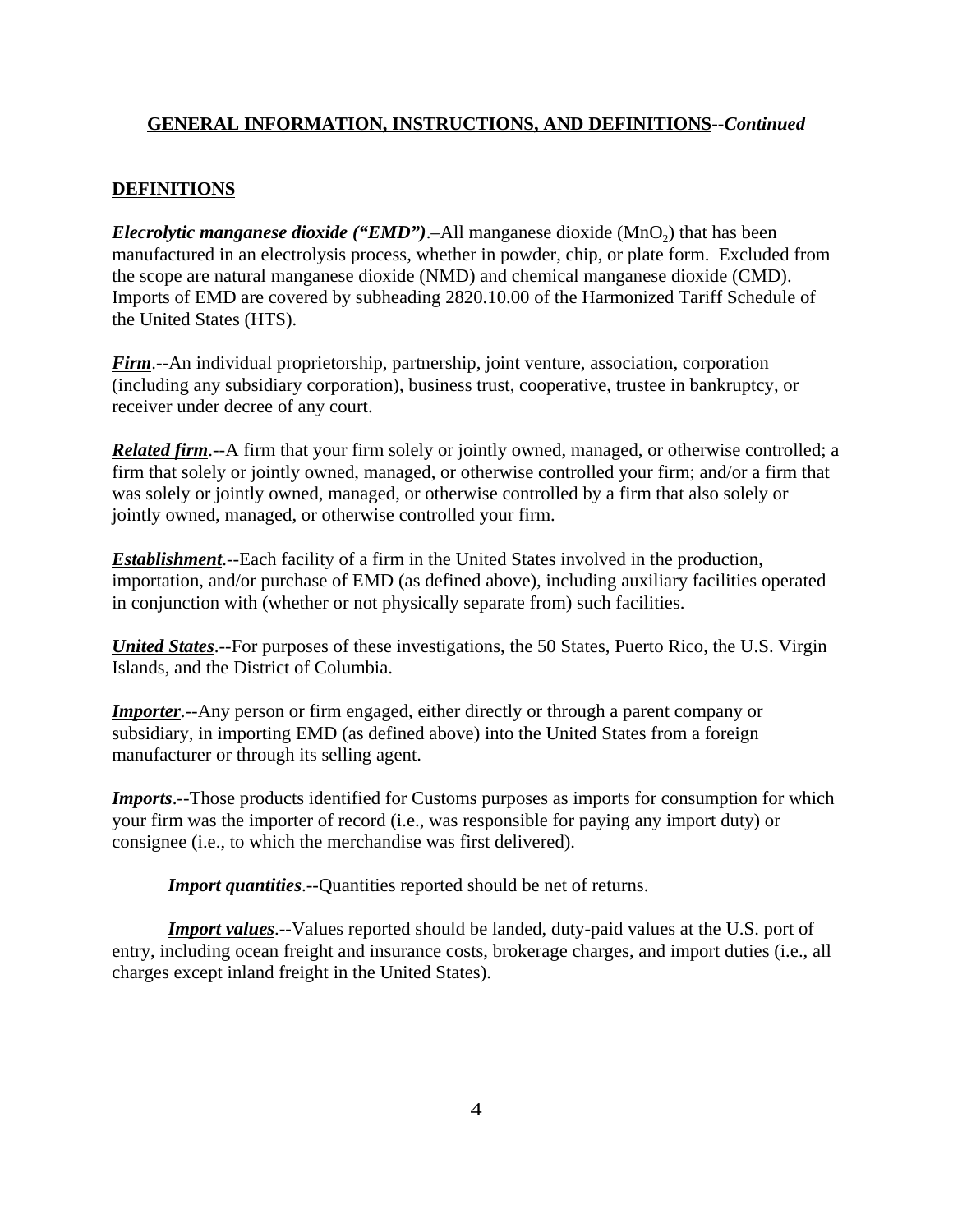# **DEFINITIONS**

*Elecrolytic manganese dioxide ("EMD")*.–All manganese dioxide (MnO<sub>2</sub>) that has been manufactured in an electrolysis process, whether in powder, chip, or plate form. Excluded from the scope are natural manganese dioxide (NMD) and chemical manganese dioxide (CMD). Imports of EMD are covered by subheading 2820.10.00 of the Harmonized Tariff Schedule of the United States (HTS).

*Firm*.--An individual proprietorship, partnership, joint venture, association, corporation (including any subsidiary corporation), business trust, cooperative, trustee in bankruptcy, or receiver under decree of any court.

*Related firm*.--A firm that your firm solely or jointly owned, managed, or otherwise controlled; a firm that solely or jointly owned, managed, or otherwise controlled your firm; and/or a firm that was solely or jointly owned, managed, or otherwise controlled by a firm that also solely or jointly owned, managed, or otherwise controlled your firm.

*Establishment*.--Each facility of a firm in the United States involved in the production, importation, and/or purchase of EMD (as defined above), including auxiliary facilities operated in conjunction with (whether or not physically separate from) such facilities.

*United States*.--For purposes of these investigations, the 50 States, Puerto Rico, the U.S. Virgin Islands, and the District of Columbia.

*Importer*.--Any person or firm engaged, either directly or through a parent company or subsidiary, in importing EMD (as defined above) into the United States from a foreign manufacturer or through its selling agent.

*Imports*.--Those products identified for Customs purposes as imports for consumption for which your firm was the importer of record (i.e., was responsible for paying any import duty) or consignee (i.e., to which the merchandise was first delivered).

*Import quantities*.--Quantities reported should be net of returns.

*Import values*.--Values reported should be landed, duty-paid values at the U.S. port of entry, including ocean freight and insurance costs, brokerage charges, and import duties (i.e., all charges except inland freight in the United States).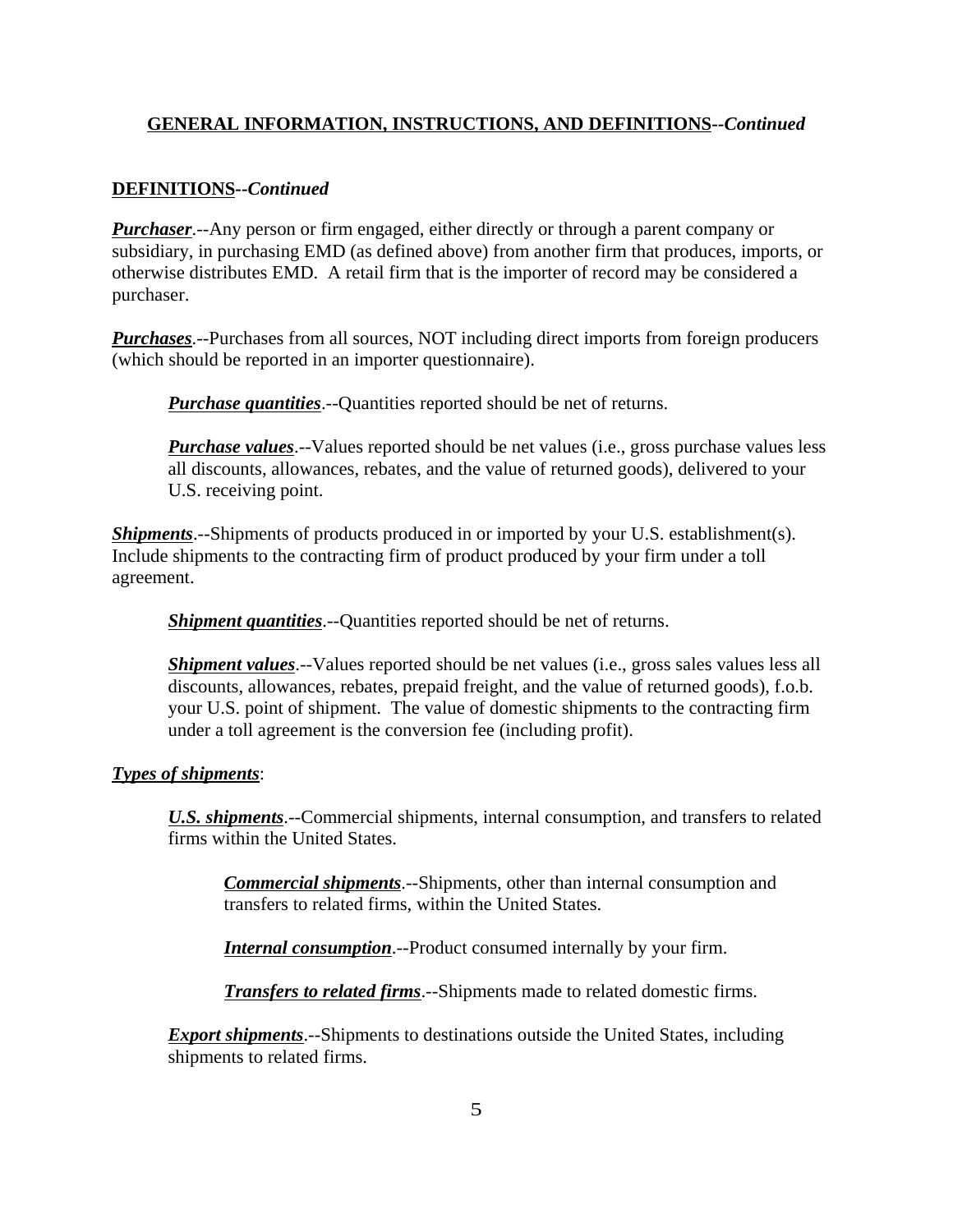## **DEFINITIONS--***Continued*

*Purchaser*.--Any person or firm engaged, either directly or through a parent company or subsidiary, in purchasing EMD (as defined above) from another firm that produces, imports, or otherwise distributes EMD. A retail firm that is the importer of record may be considered a purchaser.

*Purchases*.--Purchases from all sources, NOT including direct imports from foreign producers (which should be reported in an importer questionnaire).

*Purchase quantities*.--Quantities reported should be net of returns.

*Purchase values*.--Values reported should be net values (i.e., gross purchase values less all discounts, allowances, rebates, and the value of returned goods), delivered to your U.S. receiving point.

*Shipments*.--Shipments of products produced in or imported by your U.S. establishment(s). Include shipments to the contracting firm of product produced by your firm under a toll agreement.

*Shipment quantities*.--Quantities reported should be net of returns.

*Shipment values*.--Values reported should be net values (i.e., gross sales values less all discounts, allowances, rebates, prepaid freight, and the value of returned goods), f.o.b. your U.S. point of shipment. The value of domestic shipments to the contracting firm under a toll agreement is the conversion fee (including profit).

### *Types of shipments*:

*U.S. shipments*.--Commercial shipments, internal consumption, and transfers to related firms within the United States.

*Commercial shipments*.--Shipments, other than internal consumption and transfers to related firms, within the United States.

*Internal consumption*.--Product consumed internally by your firm.

*Transfers to related firms*.--Shipments made to related domestic firms.

*Export shipments*.--Shipments to destinations outside the United States, including shipments to related firms.